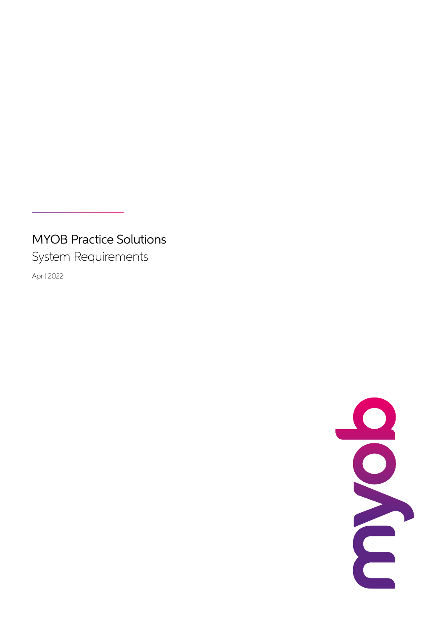# MYOB Practice Solutions

System Requirements

April 2022

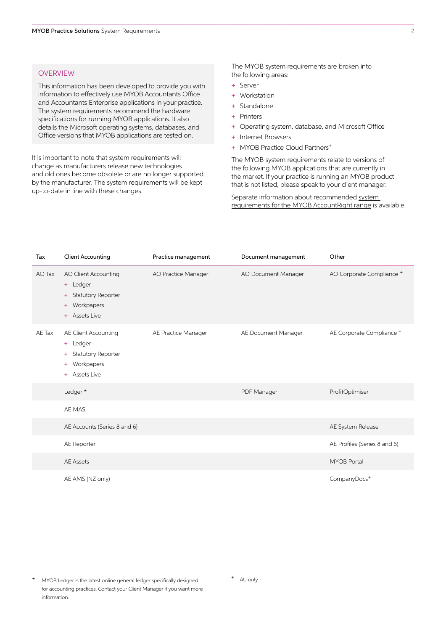# **OVERVIEW**

This information has been developed to provide you with information to effectively use MYOB Accountants Office and Accountants Enterprise applications in your practice. The system requirements recommend the hardware specifications for running MYOB applications. It also details the Microsoft operating systems, databases, and Office versions that MYOB applications are tested on.

It is important to note that system requirements will change as manufacturers release new technologies and old ones become obsolete or are no longer supported by the manufacturer. The system requirements will be kept up-to-date in line with these changes.

The MYOB system requirements are broken into the following areas:

- + Server
- + Workstation
- + Standalone
- + Printers
- + Operating system, database, and Microsoft Office
- + Internet Browsers
- + MYOB Practice Cloud Partners<sup>+</sup>

The MYOB system requirements relate to versions of the following MYOB applications that are currently in the market. If your practice is running an MYOB product that is not listed, please speak to your client manager.

Separate information about recommended [system](https://www.myob.com/au/support/minimum-system-requirements)  [requirements for the MYOB AccountRight range](https://www.myob.com/au/support/minimum-system-requirements) is available.

| Tax    | <b>Client Accounting</b>                                                                                           | Practice management | Document management | Other                                |
|--------|--------------------------------------------------------------------------------------------------------------------|---------------------|---------------------|--------------------------------------|
| AO Tax | AO Client Accounting<br>+ Ledger<br><b>Statutory Reporter</b><br>÷<br>Workpapers<br>÷<br><b>Assets Live</b><br>$+$ | AO Practice Manager | AO Document Manager | AO Corporate Compliance <sup>+</sup> |
| AE Tax | AE Client Accounting<br>+ Ledger<br>Statutory Reporter<br>÷<br>Workpapers<br>÷<br>Assets Live<br>÷                 | AE Practice Manager | AE Document Manager | AE Corporate Compliance +            |
|        | Ledger*                                                                                                            |                     | PDF Manager         | ProfitOptimiser                      |
|        | AE MAS                                                                                                             |                     |                     |                                      |
|        | AE Accounts (Series 8 and 6)                                                                                       |                     |                     | AE System Release                    |
|        | AE Reporter                                                                                                        |                     |                     | AE Profiles (Series 8 and 6)         |
|        | <b>AE Assets</b>                                                                                                   |                     |                     | <b>MYOB Portal</b>                   |
|        | AE AMS (NZ only)                                                                                                   |                     |                     | CompanyDocs <sup>+</sup>             |

MYOB Ledger is the latest online general ledger specifically designed for accounting practices. Contact your Client Manager if you want more information.

<sup>+</sup> AU only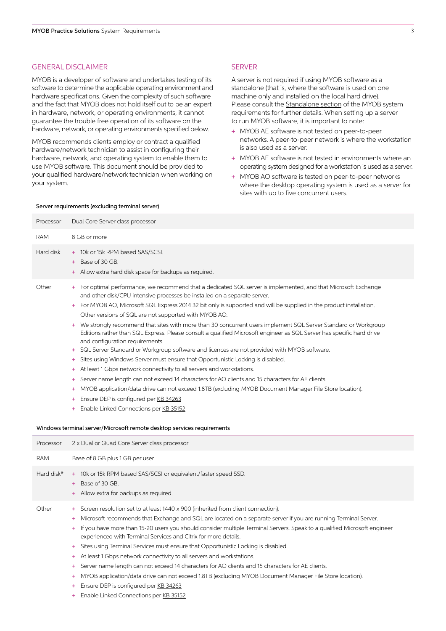#### GENERAL DISCLAIMER

MYOB is a developer of software and undertakes testing of its software to determine the applicable operating environment and hardware specifications. Given the complexity of such software and the fact that MYOB does not hold itself out to be an expert in hardware, network, or operating environments, it cannot guarantee the trouble free operation of its software on the hardware, network, or operating environments specified below.

MYOB recommends clients employ or contract a qualified hardware/network technician to assist in configuring their hardware, network, and operating system to enable them to use MYOB software. This document should be provided to your qualified hardware/network technician when working on your system.

#### SERVER

A server is not required if using MYOB software as a standalone (that is, where the software is used on one machine only and installed on the local hard drive). Please consult the [Standalone section](https://www.myob.com/au/support/minimum-system-requirements) of the MYOB system requirements for further details. When setting up a server to run MYOB software, it is important to note:

- + MYOB AE software is not tested on peer-to-peer networks. A peer-to-peer network is where the workstation is also used as a server.
- + MYOB AE software is not tested in environments where an operating system designed for a workstation is used as a server.
- + MYOB AO software is tested on peer-to-peer networks where the desktop operating system is used as a server for sites with up to five concurrent users.

#### Server requirements (excluding terminal server)

| Processor  | Dual Core Server class processor                                                                                                                                                                                                                                                                                                                                                                                                                                                                                                                                                                                                                                                                                                                                                                                                                                                                                                                                                                                                                                                                                                                                                                                                                                                                                                                 |
|------------|--------------------------------------------------------------------------------------------------------------------------------------------------------------------------------------------------------------------------------------------------------------------------------------------------------------------------------------------------------------------------------------------------------------------------------------------------------------------------------------------------------------------------------------------------------------------------------------------------------------------------------------------------------------------------------------------------------------------------------------------------------------------------------------------------------------------------------------------------------------------------------------------------------------------------------------------------------------------------------------------------------------------------------------------------------------------------------------------------------------------------------------------------------------------------------------------------------------------------------------------------------------------------------------------------------------------------------------------------|
| <b>RAM</b> | 8 GB or more                                                                                                                                                                                                                                                                                                                                                                                                                                                                                                                                                                                                                                                                                                                                                                                                                                                                                                                                                                                                                                                                                                                                                                                                                                                                                                                                     |
| Hard disk  | + 10k or 15k RPM based SAS/SCSI.<br>Base of 30 GB.<br>$+$<br>+ Allow extra hard disk space for backups as required.                                                                                                                                                                                                                                                                                                                                                                                                                                                                                                                                                                                                                                                                                                                                                                                                                                                                                                                                                                                                                                                                                                                                                                                                                              |
| Other      | + For optimal performance, we recommend that a dedicated SQL server is implemented, and that Microsoft Exchange<br>and other disk/CPU intensive processes be installed on a separate server.<br>For MYOB AO, Microsoft SQL Express 2014 32 bit only is supported and will be supplied in the product installation.<br>÷.<br>Other versions of SQL are not supported with MYOB AO.<br>We strongly recommend that sites with more than 30 concurrent users implement SQL Server Standard or Workgroup<br>÷.<br>Editions rather than SQL Express. Please consult a qualified Microsoft engineer as SQL Server has specific hard drive<br>and configuration requirements.<br>SQL Server Standard or Workgroup software and licences are not provided with MYOB software.<br>÷<br>Sites using Windows Server must ensure that Opportunistic Locking is disabled.<br>÷.<br>At least 1 Gbps network connectivity to all servers and workstations.<br>÷.<br>Server name length can not exceed 14 characters for AO clients and 15 characters for AE clients.<br>÷<br>MYOB application/data drive can not exceed 1.8TB (excluding MYOB Document Manager File Store location).<br>÷<br>Ensure DEP is configured per KB 34263<br>÷<br>Enable Linked Connections per KB 35152<br>÷<br>Windows terminal server/Microsoft remote desktop services requirements |
| Processor  | 2 x Dual or Quad Core Server class processor                                                                                                                                                                                                                                                                                                                                                                                                                                                                                                                                                                                                                                                                                                                                                                                                                                                                                                                                                                                                                                                                                                                                                                                                                                                                                                     |
| <b>RAM</b> | Base of 8 GB plus 1 GB per user                                                                                                                                                                                                                                                                                                                                                                                                                                                                                                                                                                                                                                                                                                                                                                                                                                                                                                                                                                                                                                                                                                                                                                                                                                                                                                                  |
| Hard disk* | + 10k or 15k RPM based SAS/SCSI or equivalent/faster speed SSD.<br>+ Base of 30 GB.<br>Allow extra for backups as required.                                                                                                                                                                                                                                                                                                                                                                                                                                                                                                                                                                                                                                                                                                                                                                                                                                                                                                                                                                                                                                                                                                                                                                                                                      |
| Other      | Screen resolution set to at least 1440 x 900 (inherited from client connection).<br>÷<br>Microsoft recommends that Exchange and SQL are located on a separate server if you are running Terminal Server.<br>÷<br>If you have more than 15-20 users you should consider multiple Terminal Servers. Speak to a qualified Microsoft engineer<br>$+$<br>experienced with Terminal Services and Citrix for more details.<br>Sites using Terminal Services must ensure that Opportunistic Locking is disabled.<br>÷<br>At least 1 Gbps network connectivity to all servers and workstations.<br>÷.<br>Server name length can not exceed 14 characters for AO clients and 15 characters for AE clients.                                                                                                                                                                                                                                                                                                                                                                                                                                                                                                                                                                                                                                                 |

- + MYOB application/data drive can not exceed 1.8TB (excluding MYOB Document Manager File Store location).
- + Ensure DEP is configured per [KB 34263](http://help.myob.com/wiki/x/wgN3AQ
)
- + Enable Linked Connections per [KB 35152](http://help.myob.com/wiki/x/7Ah3AQ
)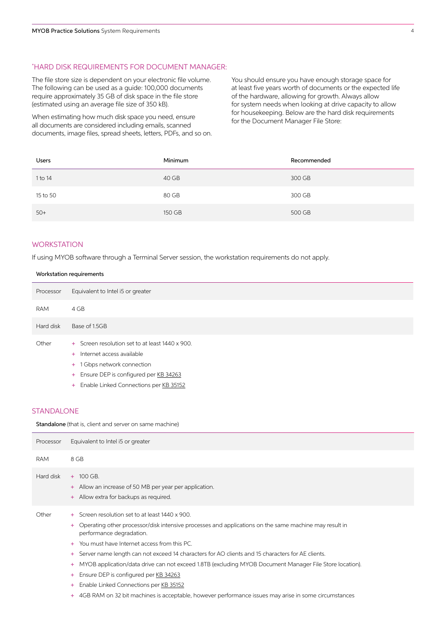## \* HARD DISK REQUIREMENTS FOR DOCUMENT MANAGER:

The file store size is dependent on your electronic file volume. The following can be used as a guide: 100,000 documents require approximately 35 GB of disk space in the file store (estimated using an average file size of 350 kB).

When estimating how much disk space you need, ensure all documents are considered including emails, scanned documents, image files, spread sheets, letters, PDFs, and so on. You should ensure you have enough storage space for at least five years worth of documents or the expected life of the hardware, allowing for growth. Always allow for system needs when looking at drive capacity to allow for housekeeping. Below are the hard disk requirements for the Document Manager File Store:

| Users    | Minimum | Recommended |
|----------|---------|-------------|
| 1 to 14  | 40 GB   | 300 GB      |
| 15 to 50 | 80 GB   | 300 GB      |
| $50+$    | 150 GB  | 500 GB      |

# **WORKSTATION**

If using MYOB software through a Terminal Server session, the workstation requirements do not apply.

# Workstation requirements

| Processor | Equivalent to Intel i5 or greater                                                                                                                                                                    |
|-----------|------------------------------------------------------------------------------------------------------------------------------------------------------------------------------------------------------|
| RAM       | 4 GB                                                                                                                                                                                                 |
| Hard disk | Base of 1.5GB                                                                                                                                                                                        |
| Other     | + Screen resolution set to at least 1440 x 900.<br>+ Internet access available<br>+ 1 Gbps network connection<br>+ Ensure DEP is configured per KB 34263<br>+ Enable Linked Connections per KB 35152 |

# STANDALONE

Standalone (that is, client and server on same machine)

| Processor  | Equivalent to Intel i5 or greater                                                                                                                                                                                                                                                                                                                                                                                                                                                                                                                                               |
|------------|---------------------------------------------------------------------------------------------------------------------------------------------------------------------------------------------------------------------------------------------------------------------------------------------------------------------------------------------------------------------------------------------------------------------------------------------------------------------------------------------------------------------------------------------------------------------------------|
| <b>RAM</b> | 8 GB                                                                                                                                                                                                                                                                                                                                                                                                                                                                                                                                                                            |
| Hard disk  | $+ 100$ GB.<br>Allow an increase of 50 MB per year per application.<br>$+$<br>+ Allow extra for backups as required.                                                                                                                                                                                                                                                                                                                                                                                                                                                            |
| Other      | + Screen resolution set to at least 1440 x 900.<br>Operating other processor/disk intensive processes and applications on the same machine may result in<br>$+$<br>performance degradation.<br>You must have Internet access from this PC.<br>$+$<br>Server name length can not exceed 14 characters for AO clients and 15 characters for AE clients.<br>$+$<br>MYOB application/data drive can not exceed 1.8TB (excluding MYOB Document Manager File Store location).<br>$+$<br>Ensure DEP is configured per KB 34263<br>$+$<br>Enable Linked Connections per KB 35152<br>$+$ |

+ 4GB RAM on 32 bit machines is acceptable, however performance issues may arise in some circumstances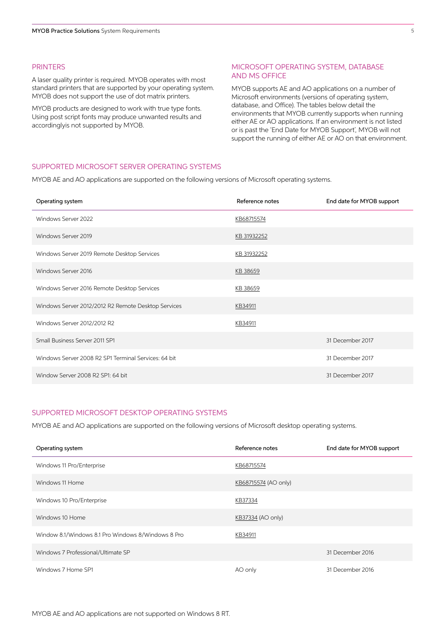# PRINTERS

A laser quality printer is required. MYOB operates with most standard printers that are supported by your operating system. MYOB does not support the use of dot matrix printers.

MYOB products are designed to work with true type fonts. Using post script fonts may produce unwanted results and accordinglyis not supported by MYOB.

## MICROSOFT OPERATING SYSTEM, DATABASE AND MS OFFICE

MYOB supports AE and AO applications on a number of Microsoft environments (versions of operating system, database, and Office). The tables below detail the environments that MYOB currently supports when running either AE or AO applications. If an environment is not listed or is past the 'End Date for MYOB Support', MYOB will not support the running of either AE or AO on that environment.

# SUPPORTED MICROSOFT SERVER OPERATING SYSTEMS

MYOB AE and AO applications are supported on the following versions of Microsoft operating systems.

| Operating system                                     | Reference notes | End date for MYOB support |
|------------------------------------------------------|-----------------|---------------------------|
| Windows Server 2022                                  | KB68715574      |                           |
| Windows Server 2019                                  | KB 31932252     |                           |
| Windows Server 2019 Remote Desktop Services          | KB 31932252     |                           |
| Windows Server 2016                                  | KB 38659        |                           |
| Windows Server 2016 Remote Desktop Services          | KB 38659        |                           |
| Windows Server 2012/2012 R2 Remote Desktop Services  | KB34911         |                           |
| Windows Server 2012/2012 R2                          | KB34911         |                           |
| Small Business Server 2011 SP1                       |                 | 31 December 2017          |
| Windows Server 2008 R2 SP1 Terminal Services: 64 bit |                 | 31 December 2017          |
| Window Server 2008 R2 SP1: 64 bit                    |                 | 31 December 2017          |

### SUPPORTED MICROSOFT DESKTOP OPERATING SYSTEMS

MYOB AE and AO applications are supported on the following versions of Microsoft desktop operating systems.

| Operating system                                   | Reference notes      | End date for MYOB support |
|----------------------------------------------------|----------------------|---------------------------|
| Windows 11 Pro/Enterprise                          | KB68715574           |                           |
| Windows 11 Home                                    | KB68715574 (AO only) |                           |
| Windows 10 Pro/Enterprise                          | KB37334              |                           |
| Windows 10 Home                                    | KB37334 (AO only)    |                           |
| Window 8.1/Windows 8.1 Pro Windows 8/Windows 8 Pro | KB34911              |                           |
| Windows 7 Professional/Ultimate SP                 |                      | 31 December 2016          |
| Windows 7 Home SP1                                 | AO only              | 31 December 2016          |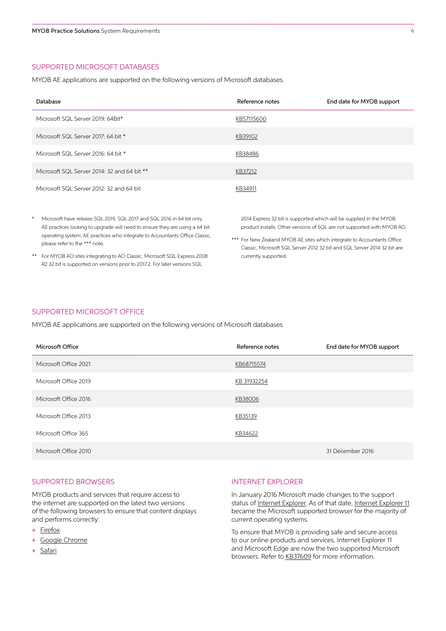# SUPPORTED MICROSOFT DATABASES

MYOB AE applications are supported on the following versions of Microsoft databases.

| Database                                    | Reference notes | End date for MYOB support |
|---------------------------------------------|-----------------|---------------------------|
| Microsoft SQL Server 2019: 64Bit*           | KB57115600      |                           |
| Microsoft SQL Server 2017: 64 bit *         | KB39102         |                           |
| Microsoft SQL Server 2016: 64 bit *         | KB38486         |                           |
| Microsoft SQL Server 2014: 32 and 64 bit ** | KB37212         |                           |
| Microsoft SQL Server 2012: 32 and 64 bit    | KB34911         |                           |

- Microsoft have release SQL 2019, SQL 2017 and SQL 2016 in 64 bit only. AE practices looking to upgrade will need to ensure they are using a 64 bit operating system. AE practices who integrate to Accountants Office Classic, please refer to the \*\*\* note.
- \*\* For MYOB AO sites integrating to AO Classic, Microsoft SQL Express 2008 R2 32 bit is supported on versions prior to 2017.2. For later versions SQL

2014 Express 32 bit is supported which will be supplied in the MYOB product installs. Other versions of SQL are not supported with MYOB AO.

\*\*\* For New Zealand MYOB AE sites which integrate to Accountants Office Classic, Microsoft SQL Server 2012 32 bit and SQL Server 2014 32 bit are currently supported.

#### SUPPORTED MICROSOFT OFFICE

MYOB AE applications are supported on the following versions of Microsoft databases

| Microsoft Office      | Reference notes | End date for MYOB support |
|-----------------------|-----------------|---------------------------|
| Microsoft Office 2021 | KB68715574      |                           |
| Microsoft Office 2019 | KB 31932254     |                           |
| Microsoft Office 2016 | KB38006         |                           |
| Microsoft Office 2013 | KB35139         |                           |
| Microsoft Office 365  | KB34622         |                           |
| Microsoft Office 2010 |                 | 31 December 2016          |

# SUPPORTED BROWSERS

MYOB products and services that require access to the internet are supported on the latest two versions of the following browsers to ensure that content displays and performs correctly:

- + [Firefox](https://www.mozilla.org/en-US/firefox/new/)
- + [Google Chrome](http://www.google.com/chrome/)
- + [Safari](https://www.apple.com/au/safari/)

# INTERNET EXPLORER

In January 2016 Microsoft made changes to the support status of [Internet Explorer](https://www.microsoft.com/en-us/download/internet-explorer.aspx). As of that date, [Internet Explorer 11](https://www.microsoft.com/en-us/download/internet-explorer.aspx) became the Microsoft supported browser for the majority of current operating systems.

To ensure that MYOB is providing safe and secure access to our online products and services, Internet Explorer 11 and Microsoft Edge are now the two supported Microsoft browsers. Refer to [KB37609](http://help.myob.com/wiki/x/1AV3AQ) for more information.